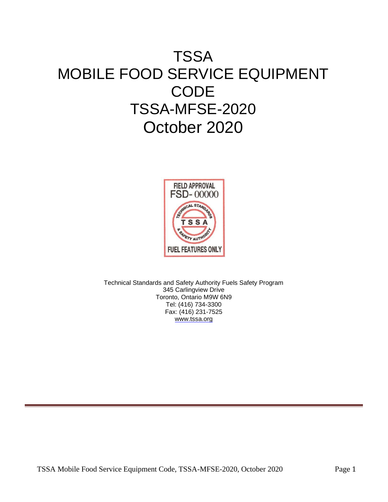# **TSSA** MOBILE FOOD SERVICE EQUIPMENT **CODE** TSSA-MFSE-2020 October 2020



Technical Standards and Safety Authority Fuels Safety Program 345 Carlingview Drive Toronto, Ontario M9W 6N9 Tel: (416) 734-3300 Fax: (416) 231-7525 [www.tssa.org](http://www.tssa.org/)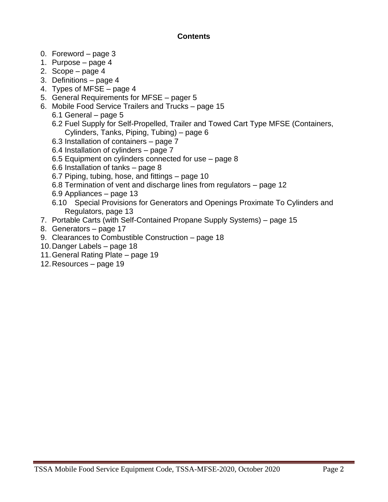#### **Contents**

- 0. Foreword page 3
- 1. Purpose page 4
- 2. Scope page 4
- 3. Definitions page 4
- 4. Types of MFSE page 4
- 5. General Requirements for MFSE pager 5
- 6. Mobile Food Service Trailers and Trucks page 15
	- 6.1 General page 5
	- 6.2 Fuel Supply for Self-Propelled, Trailer and Towed Cart Type MFSE (Containers, Cylinders, Tanks, Piping, Tubing) – page 6
	- 6.3 Installation of containers page 7
	- 6.4 Installation of cylinders page 7
	- 6.5 Equipment on cylinders connected for use page 8
	- 6.6 Installation of tanks page 8
	- 6.7 Piping, tubing, hose, and fittings page 10
	- 6.8 Termination of vent and discharge lines from regulators page 12
	- 6.9 Appliances page 13
	- 6.10 Special Provisions for Generators and Openings Proximate To Cylinders and Regulators, page 13
- 7. Portable Carts (with Self-Contained Propane Supply Systems) page 15
- 8. Generators page 17
- 9. Clearances to Combustible Construction page 18
- 10.Danger Labels page 18
- 11.General Rating Plate page 19
- 12.Resources page 19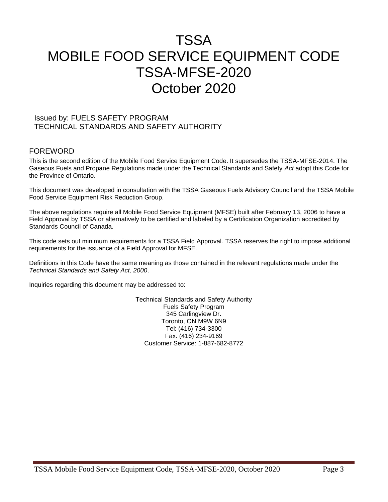# TSSA MOBILE FOOD SERVICE EQUIPMENT CODE TSSA-MFSE-2020 October 2020

#### Issued by: FUELS SAFETY PROGRAM TECHNICAL STANDARDS AND SAFETY AUTHORITY

#### FOREWORD

This is the second edition of the Mobile Food Service Equipment Code. It supersedes the TSSA-MFSE-2014. The Gaseous Fuels and Propane Regulations made under the Technical Standards and Safety *Act* adopt this Code for the Province of Ontario.

This document was developed in consultation with the TSSA Gaseous Fuels Advisory Council and the TSSA Mobile Food Service Equipment Risk Reduction Group.

The above regulations require all Mobile Food Service Equipment (MFSE) built after February 13, 2006 to have a Field Approval by TSSA or alternatively to be certified and labeled by a Certification Organization accredited by Standards Council of Canada.

This code sets out minimum requirements for a TSSA Field Approval. TSSA reserves the right to impose additional requirements for the issuance of a Field Approval for MFSE.

Definitions in this Code have the same meaning as those contained in the relevant regulations made under the *Technical Standards and Safety Act, 2000*.

Inquiries regarding this document may be addressed to:

Technical Standards and Safety Authority Fuels Safety Program 345 Carlingview Dr. Toronto, ON M9W 6N9 Tel: (416) 734-3300 Fax: (416) 234-9169 Customer Service: 1-887-682-8772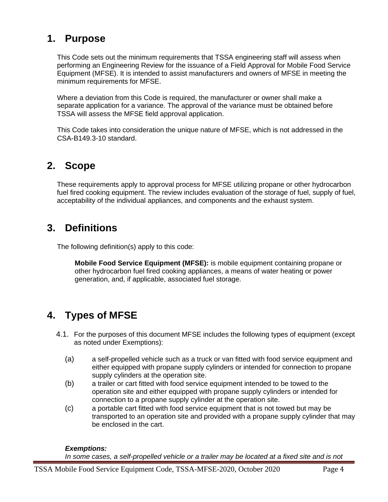### **1. Purpose**

This Code sets out the minimum requirements that TSSA engineering staff will assess when performing an Engineering Review for the issuance of a Field Approval for Mobile Food Service Equipment (MFSE). It is intended to assist manufacturers and owners of MFSE in meeting the minimum requirements for MFSE.

Where a deviation from this Code is required, the manufacturer or owner shall make a separate application for a variance. The approval of the variance must be obtained before TSSA will assess the MFSE field approval application.

This Code takes into consideration the unique nature of MFSE, which is not addressed in the CSA-B149.3-10 standard.

# **2. Scope**

These requirements apply to approval process for MFSE utilizing propane or other hydrocarbon fuel fired cooking equipment. The review includes evaluation of the storage of fuel, supply of fuel, acceptability of the individual appliances, and components and the exhaust system.

## **3. Definitions**

The following definition(s) apply to this code:

**Mobile Food Service Equipment (MFSE):** is mobile equipment containing propane or other hydrocarbon fuel fired cooking appliances, a means of water heating or power generation, and, if applicable, associated fuel storage.

# **4. Types of MFSE**

- 4.1. For the purposes of this document MFSE includes the following types of equipment (except as noted under Exemptions):
	- (a) a self-propelled vehicle such as a truck or van fitted with food service equipment and either equipped with propane supply cylinders or intended for connection to propane supply cylinders at the operation site.
	- (b) a trailer or cart fitted with food service equipment intended to be towed to the operation site and either equipped with propane supply cylinders or intended for connection to a propane supply cylinder at the operation site.
	- (c) a portable cart fitted with food service equipment that is not towed but may be transported to an operation site and provided with a propane supply cylinder that may be enclosed in the cart.

#### *Exemptions:*

In some cases, a self-propelled vehicle or a trailer may be located at a fixed site and is not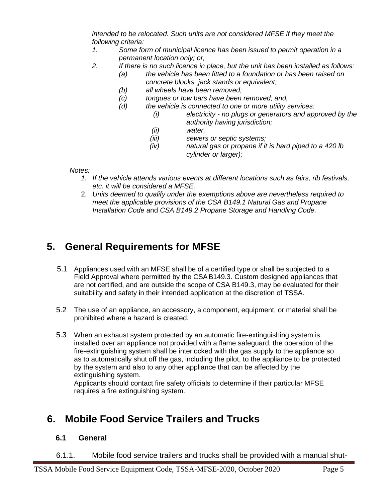*intended to be relocated. Such units are not considered MFSE if they meet the following criteria:*

- *1. Some form of municipal licence has been issued to permit operation in a permanent location only; or,*
- *2. If there is no such licence in place, but the unit has been installed as follows:*
	- *(a) the vehicle has been fitted to a foundation or has been raised on concrete blocks, jack stands or equivalent;*
	- *(b) all wheels have been removed;*
	- *(c) tongues or tow bars have been removed; and,*
	- *(d) the vehicle is connected to one or more utility services:* 
		- *(i) electricity - no plugs or generators and approved by the authority having jurisdiction;*
		- *(ii) water,*
		- *(iii) sewers or septic systems;*
		- *(iv) natural gas or propane if it is hard piped to a 420 lb cylinder or larger);*

*Notes:* 

- *1. If the vehicle attends various events at different locations such as fairs, rib festivals, etc. it will be considered a MFSE.*
- 2. *Units deemed to qualify under the exemptions above are nevertheless required to meet the applicable provisions of the CSA B149.1 Natural Gas and Propane Installation Code* and *CSA B149.2 Propane Storage and Handling Code.*

# **5. General Requirements for MFSE**

- 5.1 Appliances used with an MFSE shall be of a certified type or shall be subjected to a Field Approval where permitted by the CSAB149.3. Custom designed appliances that are not certified, and are outside the scope of CSA B149.3, may be evaluated for their suitability and safety in their intended application at the discretion of TSSA.
- 5.2 The use of an appliance, an accessory, a component, equipment, or material shall be prohibited where a hazard is created.
- 5.3 When an exhaust system protected by an automatic fire-extinguishing system is installed over an appliance not provided with a flame safeguard, the operation of the fire-extinguishing system shall be interlocked with the gas supply to the appliance so as to automatically shut off the gas, including the pilot, to the appliance to be protected by the system and also to any other appliance that can be affected by the extinguishing system.

Applicants should contact fire safety officials to determine if their particular MFSE requires a fire extinguishing system.

# **6. Mobile Food Service Trailers and Trucks**

### **6.1 General**

6.1.1. Mobile food service trailers and trucks shall be provided with a manual shut-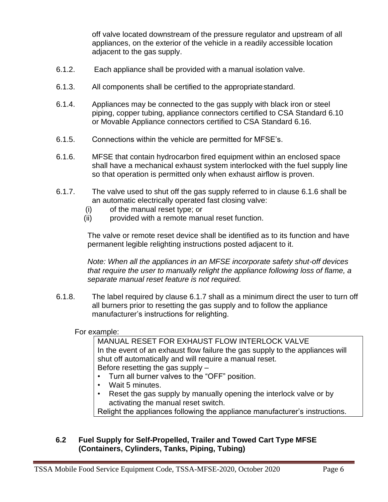off valve located downstream of the pressure regulator and upstream of all appliances, on the exterior of the vehicle in a readily accessible location adjacent to the gas supply.

- 6.1.2. Each appliance shall be provided with a manual isolation valve.
- 6.1.3. All components shall be certified to the appropriatestandard.
- 6.1.4. Appliances may be connected to the gas supply with black iron or steel piping, copper tubing, appliance connectors certified to CSA Standard 6.10 or Movable Appliance connectors certified to CSA Standard 6.16.
- 6.1.5. Connections within the vehicle are permitted for MFSE's.
- 6.1.6. MFSE that contain hydrocarbon fired equipment within an enclosed space shall have a mechanical exhaust system interlocked with the fuel supply line so that operation is permitted only when exhaust airflow is proven.
- 6.1.7. The valve used to shut off the gas supply referred to in clause 6.1.6 shall be an automatic electrically operated fast closing valve:
	- (i) of the manual reset type; or
	- (ii) provided with a remote manual reset function.

The valve or remote reset device shall be identified as to its function and have permanent legible relighting instructions posted adjacent to it.

*Note: When all the appliances in an MFSE incorporate safety shut-off devices that require the user to manually relight the appliance following loss of flame, a separate manual reset feature is not required.*

6.1.8. The label required by clause 6.1.7 shall as a minimum direct the user to turn off all burners prior to resetting the gas supply and to follow the appliance manufacturer's instructions for relighting.

#### For example:

MANUAL RESET FOR EXHAUST FLOW INTERLOCK VALVE In the event of an exhaust flow failure the gas supply to the appliances will shut off automatically and will require a manual reset. Before resetting the gas supply –

- Turn all burner valves to the "OFF" position.
- Wait 5 minutes.
- Reset the gas supply by manually opening the interlock valve or by activating the manual reset switch.

Relight the appliances following the appliance manufacturer's instructions.

#### **6.2 Fuel Supply for Self-Propelled, Trailer and Towed Cart Type MFSE (Containers, Cylinders, Tanks, Piping, Tubing)**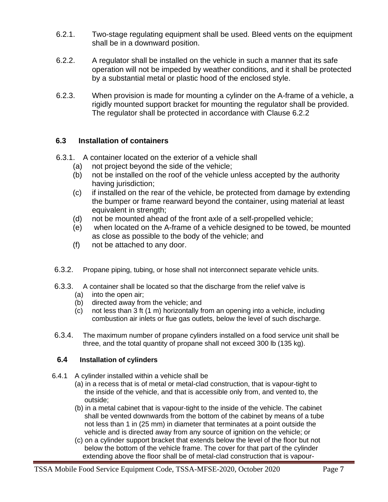- 6.2.1. Two-stage regulating equipment shall be used. Bleed vents on the equipment shall be in a downward position.
- 6.2.2. A regulator shall be installed on the vehicle in such a manner that its safe operation will not be impeded by weather conditions, and it shall be protected by a substantial metal or plastic hood of the enclosed style.
- 6.2.3. When provision is made for mounting a cylinder on the A-frame of a vehicle, a rigidly mounted support bracket for mounting the regulator shall be provided. The regulator shall be protected in accordance with Clause 6.2.2

#### **6.3 Installation of containers**

- 6.3.1. A container located on the exterior of a vehicle shall
	- (a) not project beyond the side of the vehicle;
	- (b) not be installed on the roof of the vehicle unless accepted by the authority having jurisdiction;
	- (c) if installed on the rear of the vehicle, be protected from damage by extending the bumper or frame rearward beyond the container, using material at least equivalent in strength;
	- (d) not be mounted ahead of the front axle of a self-propelled vehicle;
	- (e) when located on the A-frame of a vehicle designed to be towed, be mounted as close as possible to the body of the vehicle; and
	- (f) not be attached to any door.
- 6.3.2. Propane piping, tubing, or hose shall not interconnect separate vehicle units.
- 6.3.3. A container shall be located so that the discharge from the relief valve is
	- (a) into the open air;
	- (b) directed away from the vehicle; and
	- (c) not less than 3 ft (1 m) horizontally from an opening into a vehicle, including combustion air inlets or flue gas outlets, below the level of such discharge.
- 6.3.4. The maximum number of propane cylinders installed on a food service unit shall be three, and the total quantity of propane shall not exceed 300 lb (135 kg).

#### **6.4 Installation of cylinders**

- 6.4.1 A cylinder installed within a vehicle shall be
	- (a) in a recess that is of metal or metal-clad construction, that is vapour-tight to the inside of the vehicle, and that is accessible only from, and vented to, the outside;
	- (b) in a metal cabinet that is vapour-tight to the inside of the vehicle. The cabinet shall be vented downwards from the bottom of the cabinet by means of a tube not less than 1 in (25 mm) in diameter that terminates at a point outside the vehicle and is directed away from any source of ignition on the vehicle; or
	- (c) on a cylinder support bracket that extends below the level of the floor but not below the bottom of the vehicle frame. The cover for that part of the cylinder extending above the floor shall be of metal-clad construction that is vapour-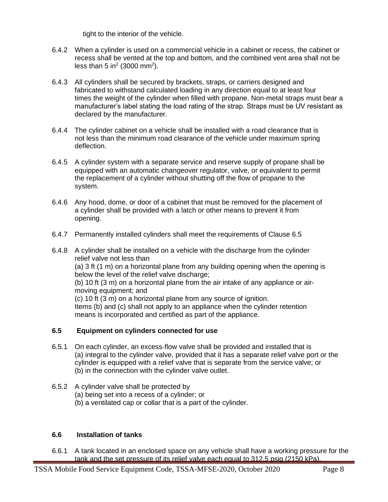tight to the interior of the vehicle.

- 6.4.2 When a cylinder is used on a commercial vehicle in a cabinet or recess, the cabinet or recess shall be vented at the top and bottom, and the combined vent area shall not be less than 5 in<sup>2</sup> (3000 mm<sup>2</sup>).
- 6.4.3 All cylinders shall be secured by brackets, straps, or carriers designed and fabricated to withstand calculated loading in any direction equal to at least four times the weight of the cylinder when filled with propane. Non-metal straps must bear a manufacturer's label stating the load rating of the strap. Straps must be UV resistant as declared by the manufacturer.
- 6.4.4 The cylinder cabinet on a vehicle shall be installed with a road clearance that is not less than the minimum road clearance of the vehicle under maximum spring deflection.
- 6.4.5 A cylinder system with a separate service and reserve supply of propane shall be equipped with an automatic changeover regulator, valve, or equivalent to permit the replacement of a cylinder without shutting off the flow of propane to the system.
- 6.4.6 Any hood, dome, or door of a cabinet that must be removed for the placement of a cylinder shall be provided with a latch or other means to prevent it from opening.
- 6.4.7 Permanently installed cylinders shall meet the requirements of Clause 6.5
- 6.4.8 A cylinder shall be installed on a vehicle with the discharge from the cylinder relief valve not less than (a) 3 ft (1 m) on a horizontal plane from any building opening when the opening is below the level of the relief valve discharge; (b) 10 ft (3 m) on a horizontal plane from the air intake of any appliance or air moving equipment; and (c) 10 ft (3 m) on a horizontal plane from any source of ignition. Items (b) and (c) shall not apply to an appliance when the cylinder retention means is incorporated and certified as part of the appliance. **6.5 Equipment on cylinders connected for use**
- 6.5.1 On each cylinder, an excess-flow valve shall be provided and installed that is (a) integral to the cylinder valve, provided that it has a separate relief valve port or the cylinder is equipped with a relief valve that is separate from the service valve; or (b) in the connection with the cylinder valve outlet.
- 6.5.2 A cylinder valve shall be protected by
	- (a) being set into a recess of a cylinder; or
	- (b) a ventilated cap or collar that is a part of the cylinder.

#### **6.6 Installation of tanks**

6.6.1 A tank located in an enclosed space on any vehicle shall have a working pressure for the tank and the set pressure of its relief valve each equal to 312.5 psig (2150 kPa).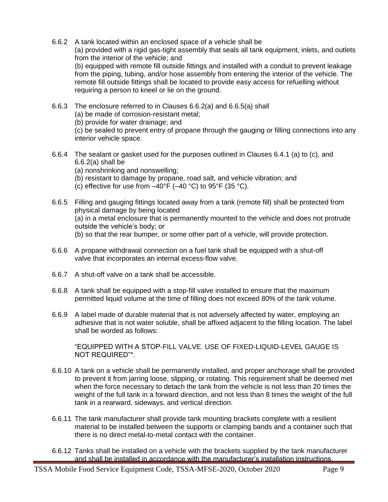- 6.6.2 A tank located within an enclosed space of a vehicle shall be (a) provided with a rigid gas-tight assembly that seals all tank equipment, inlets, and outlets from the interior of the vehicle; and (b) equipped with remote fill outside fittings and installed with a conduit to prevent leakage from the piping, tubing, and/or hose assembly from entering the interior of the vehicle. The remote fill outside fittings shall be located to provide easy access for refuelling without requiring a person to kneel or lie on the ground.
- 6.6.3 The enclosure referred to in Clauses 6.6.2(a) and 6.6.5(a) shall (a) be made of corrosion-resistant metal; (b) provide for water drainage; and (c) be sealed to prevent entry of propane through the gauging or filling connections into any interior vehicle space.
- 6.6.4 The sealant or gasket used for the purposes outlined in Clauses 6.4.1 (a) to (c), and  $6.6.2(a)$  shall be
	- (a) nonshrinking and nonswelling;
	- (b) resistant to damage by propane, road salt, and vehicle vibration; and
	- (c) effective for use from  $-40^{\circ}$ F ( $-40^{\circ}$ C) to 95°F (35 °C).
- 6.6.5 Filling and gauging fittings located away from a tank (remote fill) shall be protected from physical damage by being located (a) in a metal enclosure that is permanently mounted to the vehicle and does not protrude outside the vehicle's body; or (b) so that the rear bumper, or some other part of a vehicle, will provide protection.
- 6.6.6 A propane withdrawal connection on a fuel tank shall be equipped with a shut-off valve that incorporates an internal excess-flow valve.
- 6.6.7 A shut-off valve on a tank shall be accessible.
- 6.6.8 A tank shall be equipped with a stop-fill valve installed to ensure that the maximum permitted liquid volume at the time of filling does not exceed 80% of the tank volume.
- 6.6.9 A label made of durable material that is not adversely affected by water, employing an adhesive that is not water soluble, shall be affixed adjacent to the filling location. The label shall be worded as follows:

"EQUIPPED WITH A STOP-FILL VALVE. USE OF FIXED-LIQUID-LEVEL GAUGE IS NOT REQUIRED"\*.

- 6.6.10 A tank on a vehicle shall be permanently installed, and proper anchorage shall be provided to prevent it from jarring loose, slipping, or rotating. This requirement shall be deemed met when the force necessary to detach the tank from the vehicle is not less than 20 times the weight of the full tank in a forward direction, and not less than 8 times the weight of the full tank in a rearward, sideways, and vertical direction.
- 6.6.11 The tank manufacturer shall provide tank mounting brackets complete with a resilient material to be installed between the supports or clamping bands and a container such that there is no direct metal-to-metal contact with the container.
- 6.6.12 Tanks shall be installed on a vehicle with the brackets supplied by the tank manufacturer and shall be installed in accordance with the manufacturer's installation instructions.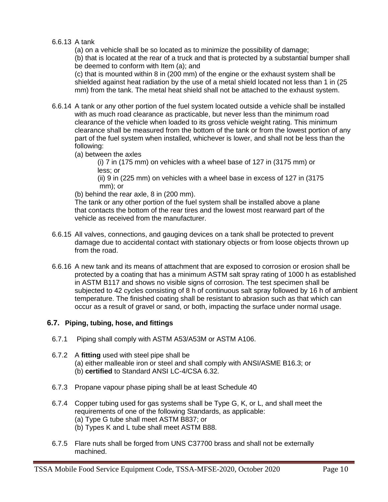#### 6.6.13 A tank

(a) on a vehicle shall be so located as to minimize the possibility of damage;

(b) that is located at the rear of a truck and that is protected by a substantial bumper shall be deemed to conform with Item (a); and

(c) that is mounted within 8 in (200 mm) of the engine or the exhaust system shall be shielded against heat radiation by the use of a metal shield located not less than 1 in (25 mm) from the tank. The metal heat shield shall not be attached to the exhaust system.

6.6.14 A tank or any other portion of the fuel system located outside a vehicle shall be installed with as much road clearance as practicable, but never less than the minimum road clearance of the vehicle when loaded to its gross vehicle weight rating. This minimum clearance shall be measured from the bottom of the tank or from the lowest portion of any part of the fuel system when installed, whichever is lower, and shall not be less than the following:

(a) between the axles

(i) 7 in (175 mm) on vehicles with a wheel base of 127 in (3175 mm) or less; or

(ii) 9 in (225 mm) on vehicles with a wheel base in excess of 127 in (3175 mm); or

(b) behind the rear axle, 8 in (200 mm).

The tank or any other portion of the fuel system shall be installed above a plane that contacts the bottom of the rear tires and the lowest most rearward part of the vehicle as received from the manufacturer.

- 6.6.15 All valves, connections, and gauging devices on a tank shall be protected to prevent damage due to accidental contact with stationary objects or from loose objects thrown up from the road.
- 6.6.16 A new tank and its means of attachment that are exposed to corrosion or erosion shall be protected by a coating that has a minimum ASTM salt spray rating of 1000 h as established in ASTM B117 and shows no visible signs of corrosion. The test specimen shall be subjected to 42 cycles consisting of 8 h of continuous salt spray followed by 16 h of ambient temperature. The finished coating shall be resistant to abrasion such as that which can occur as a result of gravel or sand, or both, impacting the surface under normal usage.

#### **6.7. Piping, tubing, hose, and fittings**

- 6.7.1 Piping shall comply with ASTM A53/A53M or ASTM A106.
- 6.7.2 A **fitting** used with steel pipe shall be (a) either malleable iron or steel and shall comply with ANSI/ASME B16.3; or (b) **certified** to Standard ANSI LC-4/CSA 6.32.
- 6.7.3 Propane vapour phase piping shall be at least Schedule 40
- 6.7.4 Copper tubing used for gas systems shall be Type G, K, or L, and shall meet the requirements of one of the following Standards, as applicable: (a) Type G tube shall meet ASTM B837; or
	- (b) Types K and L tube shall meet ASTM B88.
- 6.7.5 Flare nuts shall be forged from UNS C37700 brass and shall not be externally machined.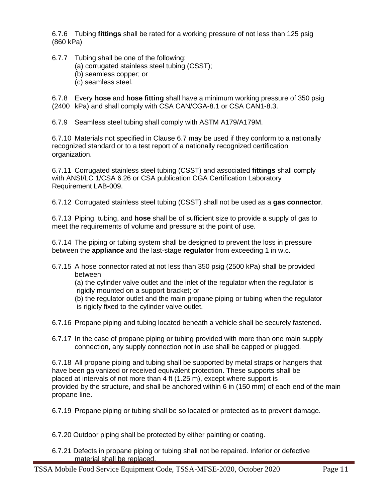6.7.6 Tubing **fittings** shall be rated for a working pressure of not less than 125 psig (860 kPa)

6.7.7 Tubing shall be one of the following:

- (a) corrugated stainless steel tubing (CSST);
- (b) seamless copper; or
- (c) seamless steel.

6.7.8 Every **hose** and **hose fitting** shall have a minimum working pressure of 350 psig (2400 kPa) and shall comply with CSA CAN/CGA-8.1 or CSA CAN1-8.3.

6.7.9 Seamless steel tubing shall comply with ASTM A179/A179M.

6.7.10 Materials not specified in Clause 6.7 may be used if they conform to a nationally recognized standard or to a test report of a nationally recognized certification organization.

6.7.11 Corrugated stainless steel tubing (CSST) and associated **fittings** shall comply with ANSI/LC 1/CSA 6.26 or CSA publication CGA Certification Laboratory Requirement LAB-009.

6.7.12 Corrugated stainless steel tubing (CSST) shall not be used as a **gas connector**.

6.7.13 Piping, tubing, and **hose** shall be of sufficient size to provide a supply of gas to meet the requirements of volume and pressure at the point of use.

6.7.14 The piping or tubing system shall be designed to prevent the loss in pressure between the **appliance** and the last-stage **regulator** from exceeding 1 in w.c.

6.7.15 A hose connector rated at not less than 350 psig (2500 kPa) shall be provided between

(a) the cylinder valve outlet and the inlet of the regulator when the regulator is rigidly mounted on a support bracket; or

(b) the regulator outlet and the main propane piping or tubing when the regulator is rigidly fixed to the cylinder valve outlet.

- 6.7.16 Propane piping and tubing located beneath a vehicle shall be securely fastened.
- 6.7.17 In the case of propane piping or tubing provided with more than one main supply connection, any supply connection not in use shall be capped or plugged.

6.7.18 All propane piping and tubing shall be supported by metal straps or hangers that have been galvanized or received equivalent protection. These supports shall be placed at intervals of not more than 4 ft (1.25 m), except where support is provided by the structure, and shall be anchored within 6 in (150 mm) of each end of the main propane line.

6.7.19 Propane piping or tubing shall be so located or protected as to prevent damage.

6.7.20 Outdoor piping shall be protected by either painting or coating.

6.7.21 Defects in propane piping or tubing shall not be repaired. Inferior or defective material shall be replaced.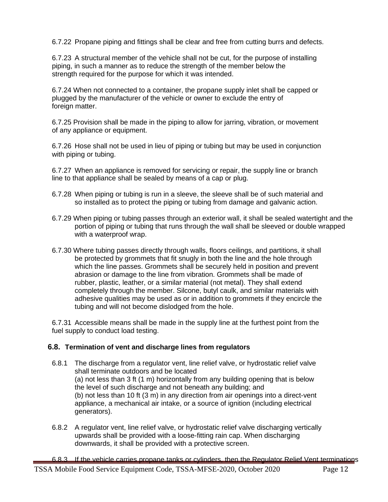6.7.22 Propane piping and fittings shall be clear and free from cutting burrs and defects.

6.7.23 A structural member of the vehicle shall not be cut, for the purpose of installing piping, in such a manner as to reduce the strength of the member below the strength required for the purpose for which it was intended.

6.7.24 When not connected to a container, the propane supply inlet shall be capped or plugged by the manufacturer of the vehicle or owner to exclude the entry of foreign matter.

6.7.25 Provision shall be made in the piping to allow for jarring, vibration, or movement of any appliance or equipment.

6.7.26 Hose shall not be used in lieu of piping or tubing but may be used in conjunction with piping or tubing.

6.7.27 When an appliance is removed for servicing or repair, the supply line or branch line to that appliance shall be sealed by means of a cap or plug.

- 6.7.28 When piping or tubing is run in a sleeve, the sleeve shall be of such material and so installed as to protect the piping or tubing from damage and galvanic action.
- 6.7.29 When piping or tubing passes through an exterior wall, it shall be sealed watertight and the portion of piping or tubing that runs through the wall shall be sleeved or double wrapped with a waterproof wrap.
- 6.7.30 Where tubing passes directly through walls, floors ceilings, and partitions, it shall be protected by grommets that fit snugly in both the line and the hole through which the line passes. Grommets shall be securely held in position and prevent abrasion or damage to the line from vibration. Grommets shall be made of rubber, plastic, leather, or a similar material (not metal). They shall extend completely through the member. Silcone, butyl caulk, and similar materials with adhesive qualities may be used as or in addition to grommets if they encircle the tubing and will not become dislodged from the hole.

6.7.31 Accessible means shall be made in the supply line at the furthest point from the fuel supply to conduct load testing.

#### **6.8. Termination of vent and discharge lines from regulators**

- 6.8.1 The discharge from a regulator vent, line relief valve, or hydrostatic relief valve shall terminate outdoors and be located (a) not less than 3 ft (1 m) horizontally from any building opening that is below the level of such discharge and not beneath any building; and (b) not less than 10 ft (3 m) in any direction from air openings into a direct-vent appliance, a mechanical air intake, or a source of ignition (including electrical generators).
- 6.8.2 A regulator vent, line relief valve, or hydrostatic relief valve discharging vertically upwards shall be provided with a loose-fitting rain cap. When discharging downwards, it shall be provided with a protective screen.
- 6.8.3 If the vehicle carries propane tanks or cylinders, then the Regulator Relief Vent terminations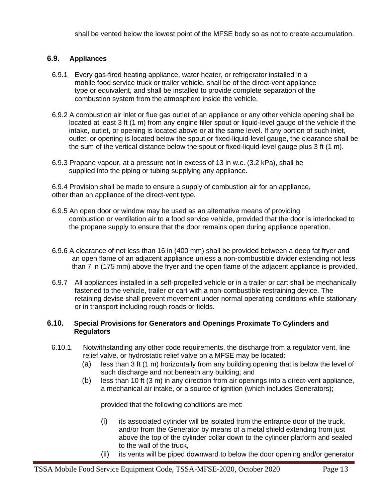shall be vented below the lowest point of the MFSE body so as not to create accumulation.

#### **6.9. Appliances**

- 6.9.1 Every gas-fired heating appliance, water heater, or refrigerator installed in a mobile food service truck or trailer vehicle, shall be of the direct-vent appliance type or equivalent, and shall be installed to provide complete separation of the combustion system from the atmosphere inside the vehicle.
- 6.9.2 A combustion air inlet or flue gas outlet of an appliance or any other vehicle opening shall be located at least 3 ft (1 m) from any engine filler spout or liquid-level gauge of the vehicle if the intake, outlet, or opening is located above or at the same level. If any portion of such inlet, outlet, or opening is located below the spout or fixed-liquid-level gauge, the clearance shall be the sum of the vertical distance below the spout or fixed-liquid-level gauge plus 3 ft (1 m).
- 6.9.3 Propane vapour, at a pressure not in excess of 13 in w.c. (3.2 kPa), shall be supplied into the piping or tubing supplying any appliance.

6.9.4 Provision shall be made to ensure a supply of combustion air for an appliance, other than an appliance of the direct-vent type.

- 6.9.5 An open door or window may be used as an alternative means of providing combustion or ventilation air to a food service vehicle, provided that the door is interlocked to the propane supply to ensure that the door remains open during appliance operation.
- 6.9.6 A clearance of not less than 16 in (400 mm) shall be provided between a deep fat fryer and an open flame of an adjacent appliance unless a non-combustible divider extending not less than 7 in (175 mm) above the fryer and the open flame of the adjacent appliance is provided.
- 6.9.7 All appliances installed in a self-propelled vehicle or in a trailer or cart shall be mechanically fastened to the vehicle, trailer or cart with a non-combustible restraining device. The retaining devise shall prevent movement under normal operating conditions while stationary or in transport including rough roads or fields.

#### **6.10. Special Provisions for Generators and Openings Proximate To Cylinders and Regulators**

- 6.10.1. Notwithstanding any other code requirements, the discharge from a regulator vent, line relief valve, or hydrostatic relief valve on a MFSE may be located:
	- (a) less than 3 ft (1 m) horizontally from any building opening that is below the level of such discharge and not beneath any building; and
	- (b) less than 10 ft  $(3 \text{ m})$  in any direction from air openings into a direct-vent appliance, a mechanical air intake, or a source of ignition (which includes Generators);

provided that the following conditions are met:

- $(i)$  its associated cylinder will be isolated from the entrance door of the truck, and/or from the Generator by means of a metal shield extending from just above the top of the cylinder collar down to the cylinder platform and sealed to the wall of the truck,
- (ii) its vents will be piped downward to below the door opening and/or generator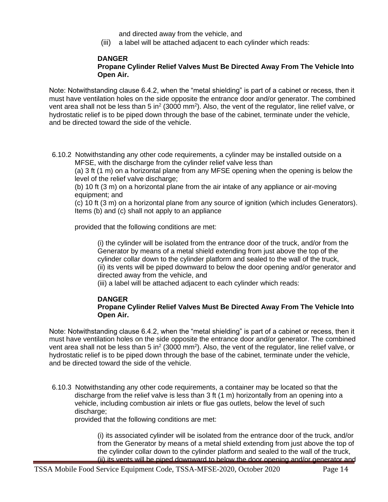and directed away from the vehicle, and

(iii) a label will be attached adjacent to each cylinder which reads:

#### **DANGER**

#### **Propane Cylinder Relief Valves Must Be Directed Away From The Vehicle Into Open Air.**

Note: Notwithstanding clause 6.4.2, when the "metal shielding" is part of a cabinet or recess, then it must have ventilation holes on the side opposite the entrance door and/or generator. The combined vent area shall not be less than 5 in<sup>2</sup> (3000 mm<sup>2</sup>). Also, the vent of the regulator, line relief valve, or hydrostatic relief is to be piped down through the base of the cabinet, terminate under the vehicle, and be directed toward the side of the vehicle.

6.10.2 Notwithstanding any other code requirements, a cylinder may be installed outside on a MFSE, with the discharge from the cylinder relief valve less than

(a) 3 ft (1 m) on a horizontal plane from any MFSE opening when the opening is below the level of the relief valve discharge:

(b) 10 ft (3 m) on a horizontal plane from the air intake of any appliance or air-moving equipment; and

(c) 10 ft (3 m) on a horizontal plane from any source of ignition (which includes Generators). Items (b) and (c) shall not apply to an appliance

provided that the following conditions are met:

(i) the cylinder will be isolated from the entrance door of the truck, and/or from the Generator by means of a metal shield extending from just above the top of the cylinder collar down to the cylinder platform and sealed to the wall of the truck, (ii) its vents will be piped downward to below the door opening and/or generator and directed away from the vehicle, and

(iii) a label will be attached adjacent to each cylinder which reads:

#### **DANGER**

#### **Propane Cylinder Relief Valves Must Be Directed Away From The Vehicle Into Open Air.**

Note: Notwithstanding clause 6.4.2, when the "metal shielding" is part of a cabinet or recess, then it must have ventilation holes on the side opposite the entrance door and/or generator. The combined vent area shall not be less than 5 in<sup>2</sup> (3000 mm<sup>2</sup>). Also, the vent of the regulator, line relief valve, or hydrostatic relief is to be piped down through the base of the cabinet, terminate under the vehicle, and be directed toward the side of the vehicle.

6.10.3 Notwithstanding any other code requirements, a container may be located so that the discharge from the relief valve is less than 3 ft (1 m) horizontally from an opening into a vehicle, including combustion air inlets or flue gas outlets, below the level of such discharge;

provided that the following conditions are met:

(i) its associated cylinder will be isolated from the entrance door of the truck, and/or from the Generator by means of a metal shield extending from just above the top of the cylinder collar down to the cylinder platform and sealed to the wall of the truck, (ii) its vents will be piped downward to below the door opening and/or generator and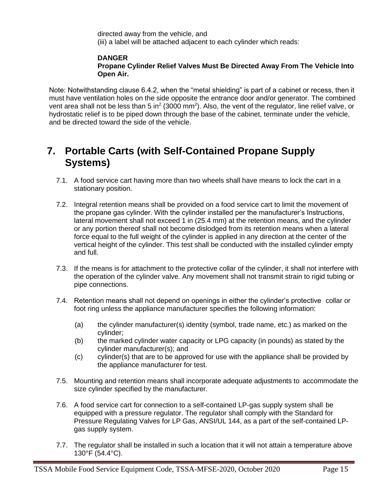directed away from the vehicle, and (iii) a label will be attached adjacent to each cylinder which reads:

#### **DANGER Propane Cylinder Relief Valves Must Be Directed Away From The Vehicle Into Open Air.**

Note: Notwithstanding clause 6.4.2, when the "metal shielding" is part of a cabinet or recess, then it must have ventilation holes on the side opposite the entrance door and/or generator. The combined vent area shall not be less than 5 in<sup>2</sup> (3000 mm<sup>2</sup>). Also, the vent of the regulator, line relief valve, or hydrostatic relief is to be piped down through the base of the cabinet, terminate under the vehicle, and be directed toward the side of the vehicle.

## **7. Portable Carts (with Self-Contained Propane Supply Systems)**

- 7.1. A food service cart having more than two wheels shall have means to lock the cart in a stationary position.
- 7.2. Integral retention means shall be provided on a food service cart to limit the movement of the propane gas cylinder. With the cylinder installed per the manufacturer's Instructions, lateral movement shall not exceed 1 in (25.4 mm) at the retention means, and the cylinder or any portion thereof shall not become dislodged from its retention means when a lateral force equal to the full weight of the cylinder is applied in any direction at the center of the vertical height of the cylinder. This test shall be conducted with the installed cylinder empty and full.
- 7.3. If the means is for attachment to the protective collar of the cylinder, it shall not interfere with the operation of the cylinder valve. Any movement shall not transmit strain to rigid tubing or pipe connections.
- 7.4. Retention means shall not depend on openings in either the cylinder's protective collar or foot ring unless the appliance manufacturer specifies the following information:
	- (a) the cylinder manufacturer(s) identity (symbol, trade name, etc.) as marked on the cylinder;
	- (b) the marked cylinder water capacity or LPG capacity (in pounds) as stated by the cylinder manufacturer(s); and
	- (c) cylinder(s) that are to be approved for use with the appliance shall be provided by the appliance manufacturer for test.
- 7.5. Mounting and retention means shall incorporate adequate adjustments to accommodate the size cylinder specified by the manufacturer.
- 7.6. A food service cart for connection to a self-contained LP-gas supply system shall be equipped with a pressure regulator. The regulator shall comply with the Standard for Pressure Regulating Valves for LP Gas, ANSI/UL 144, as a part of the self-contained LPgas supply system.
- 7.7. The regulator shall be installed in such a location that it will not attain a temperature above 130°F (54.4°C).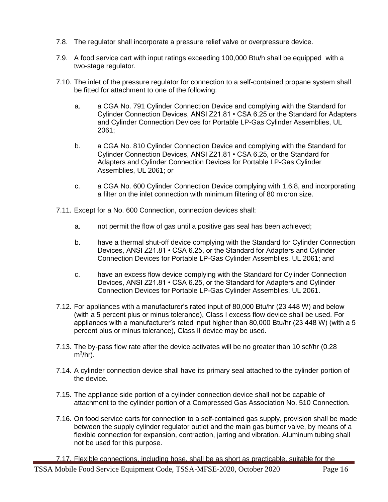- 7.8. The regulator shall incorporate a pressure relief valve or overpressure device.
- 7.9. A food service cart with input ratings exceeding 100,000 Btu/h shall be equipped with a two-stage regulator.
- 7.10. The inlet of the pressure regulator for connection to a self-contained propane system shall be fitted for attachment to one of the following:
	- a. a CGA No. 791 Cylinder Connection Device and complying with the Standard for Cylinder Connection Devices, ANSI Z21.81 • CSA 6.25 or the Standard for Adapters and Cylinder Connection Devices for Portable LP-Gas Cylinder Assemblies, UL 2061;
	- b. a CGA No. 810 Cylinder Connection Device and complying with the Standard for Cylinder Connection Devices, ANSI Z21.81 • CSA 6.25, or the Standard for Adapters and Cylinder Connection Devices for Portable LP-Gas Cylinder Assemblies, UL 2061; or
	- c. a CGA No. 600 Cylinder Connection Device complying with 1.6.8, and incorporating a filter on the inlet connection with minimum filtering of 80 micron size.
- 7.11. Except for a No. 600 Connection, connection devices shall:
	- a. not permit the flow of gas until a positive gas seal has been achieved;
	- b. have a thermal shut-off device complying with the Standard for Cylinder Connection Devices, ANSI Z21.81 • CSA 6.25, or the Standard for Adapters and Cylinder Connection Devices for Portable LP-Gas Cylinder Assemblies, UL 2061; and
	- c. have an excess flow device complying with the Standard for Cylinder Connection Devices, ANSI Z21.81 • CSA 6.25, or the Standard for Adapters and Cylinder Connection Devices for Portable LP-Gas Cylinder Assemblies, UL 2061.
- 7.12. For appliances with a manufacturer's rated input of 80,000 Btu/hr (23 448 W) and below (with a 5 percent plus or minus tolerance), Class I excess flow device shall be used. For appliances with a manufacturer's rated input higher than 80,000 Btu/hr (23 448 W) (with a 5 percent plus or minus tolerance), Class II device may be used.
- 7.13. The by-pass flow rate after the device activates will be no greater than 10 scf/hr (0.28  $m^3/hr$ ).
- 7.14. A cylinder connection device shall have its primary seal attached to the cylinder portion of the device.
- 7.15. The appliance side portion of a cylinder connection device shall not be capable of attachment to the cylinder portion of a Compressed Gas Association No. 510 Connection.
- 7.16. On food service carts for connection to a self-contained gas supply, provision shall be made between the supply cylinder regulator outlet and the main gas burner valve, by means of a flexible connection for expansion, contraction, jarring and vibration. Aluminum tubing shall not be used for this purpose.

7.17. Flexible connections, including hose, shall be as short as practicable, suitable for the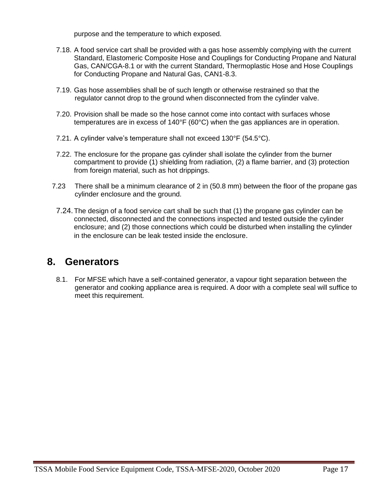purpose and the temperature to which exposed.

- 7.18. A food service cart shall be provided with a gas hose assembly complying with the current Standard, Elastomeric Composite Hose and Couplings for Conducting Propane and Natural Gas, CAN/CGA-8.1 or with the current Standard, Thermoplastic Hose and Hose Couplings for Conducting Propane and Natural Gas, CAN1-8.3.
- 7.19. Gas hose assemblies shall be of such length or otherwise restrained so that the regulator cannot drop to the ground when disconnected from the cylinder valve.
- 7.20. Provision shall be made so the hose cannot come into contact with surfaces whose temperatures are in excess of 140°F (60°C) when the gas appliances are in operation.
- 7.21. A cylinder valve's temperature shall not exceed 130°F (54.5°C).
- 7.22. The enclosure for the propane gas cylinder shall isolate the cylinder from the burner compartment to provide (1) shielding from radiation, (2) a flame barrier, and (3) protection from foreign material, such as hot drippings.
- 7.23 There shall be a minimum clearance of 2 in (50.8 mm) between the floor of the propane gas cylinder enclosure and the ground.
- 7.24.The design of a food service cart shall be such that (1) the propane gas cylinder can be connected, disconnected and the connections inspected and tested outside the cylinder enclosure; and (2) those connections which could be disturbed when installing the cylinder in the enclosure can be leak tested inside the enclosure.

### **8. Generators**

8.1. For MFSE which have a self-contained generator, a vapour tight separation between the generator and cooking appliance area is required. A door with a complete seal will suffice to meet this requirement.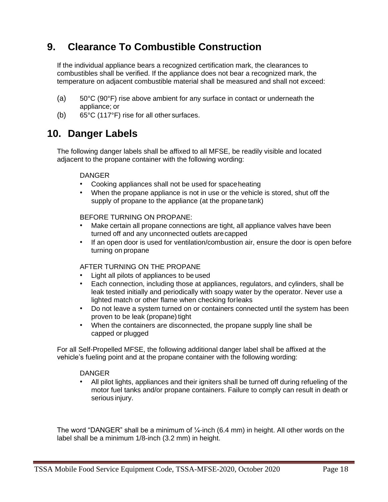## **9. Clearance To Combustible Construction**

If the individual appliance bears a recognized certification mark, the clearances to combustibles shall be verified. If the appliance does not bear a recognized mark, the temperature on adjacent combustible material shall be measured and shall not exceed:

- (a) 50°C (90°F) rise above ambient for any surface in contact or underneath the appliance; or
- (b) 65°C (117°F) rise for all other surfaces.

### **10. Danger Labels**

The following danger labels shall be affixed to all MFSE, be readily visible and located adjacent to the propane container with the following wording:

#### DANGER

- Cooking appliances shall not be used for spaceheating
- When the propane appliance is not in use or the vehicle is stored, shut off the supply of propane to the appliance (at the propanetank)

#### BEFORE TURNING ON PROPANE:

- Make certain all propane connections are tight, all appliance valves have been turned off and any unconnected outlets arecapped
- If an open door is used for ventilation/combustion air, ensure the door is open before turning on propane

#### AFTER TURNING ON THE PROPANE

- Light all pilots of appliances to be used
- Each connection, including those at appliances, regulators, and cylinders, shall be leak tested initially and periodically with soapy water by the operator. Never use a lighted match or other flame when checking forleaks
- Do not leave a system turned on or containers connected until the system has been proven to be leak (propane) tight
- When the containers are disconnected, the propane supply line shall be capped or plugged

For all Self-Propelled MFSE, the following additional danger label shall be affixed at the vehicle's fueling point and at the propane container with the following wording:

#### DANGER

• All pilot lights, appliances and their igniters shall be turned off during refueling of the motor fuel tanks and/or propane containers. Failure to comply can result in death or serious injury.

The word "DANGER" shall be a minimum of  $\frac{1}{4}$ -inch (6.4 mm) in height. All other words on the label shall be a minimum 1/8-inch (3.2 mm) in height.